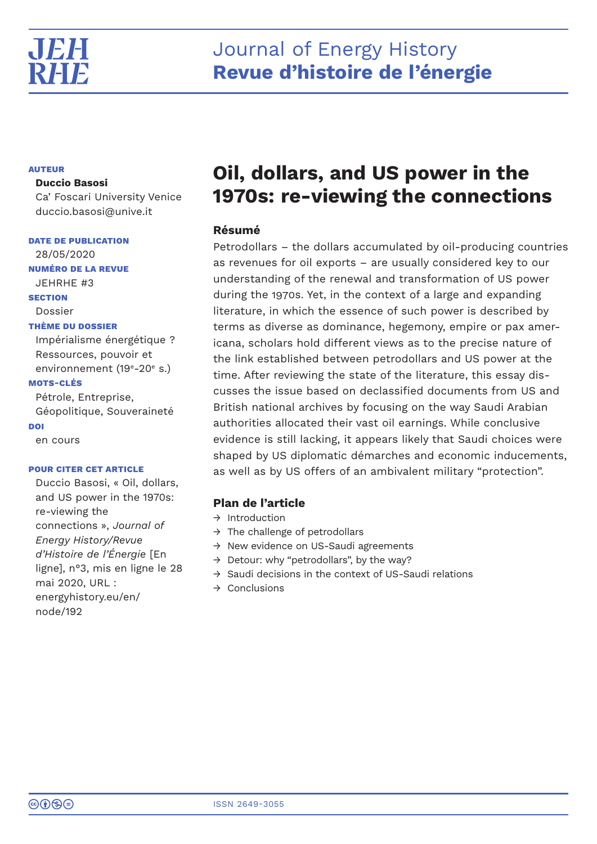

# Journal of Energy History **Revue d'histoire de l'énergie**

# **AUTEUR**

# **Duccio Basosi**

Ca' Foscari University Venice duccio.basosi@unive.it

**DATE DE PUBLICATION**

28/05/2020 **NUMÉRO DE LA REVUE** JEHRHE #3 **SECTION** Dossier **THÈME DU DOSSIER** Impérialisme énergétique ? Ressources, pouvoir et environnement (19<sup>e</sup>-20<sup>e</sup> s.) **MOTS-CLÉS**

Pétrole, Entreprise, Géopolitique, Souveraineté **DOI**

en cours

# **POUR CITER CET ARTICLE**

Duccio Basosi, « Oil, dollars, and US power in the 1970s: re-viewing the connections », *Journal of Energy History/Revue d'Histoire de l'Énergie* [En ligne], n°3, mis en ligne le 28 mai 2020, URL : energyhistory.eu/en/ node/192

# **Oil, dollars, and US power in the 1970s: re-viewing the connections**

# **Résumé**

Petrodollars – the dollars accumulated by oil-producing countries as revenues for oil exports – are usually considered key to our understanding of the renewal and transformation of US power during the 1970s. Yet, in the context of a large and expanding literature, in which the essence of such power is described by terms as diverse as dominance, hegemony, empire or pax americana, scholars hold different views as to the precise nature of the link established between petrodollars and US power at the time. After reviewing the state of the literature, this essay discusses the issue based on declassified documents from US and British national archives by focusing on the way Saudi Arabian authorities allocated their vast oil earnings. While conclusive evidence is still lacking, it appears likely that Saudi choices were shaped by US diplomatic démarches and economic inducements, as well as by US offers of an ambivalent military "protection".

# **Plan de l'article**

- $\rightarrow$  Introduction
- $\rightarrow$  The challenge of petrodollars
- → New evidence on US-Saudi agreements
- $\rightarrow$  Detour: why "petrodollars", by the way?
- → Saudi decisions in the context of US-Saudi relations
- $\rightarrow$  Conclusions

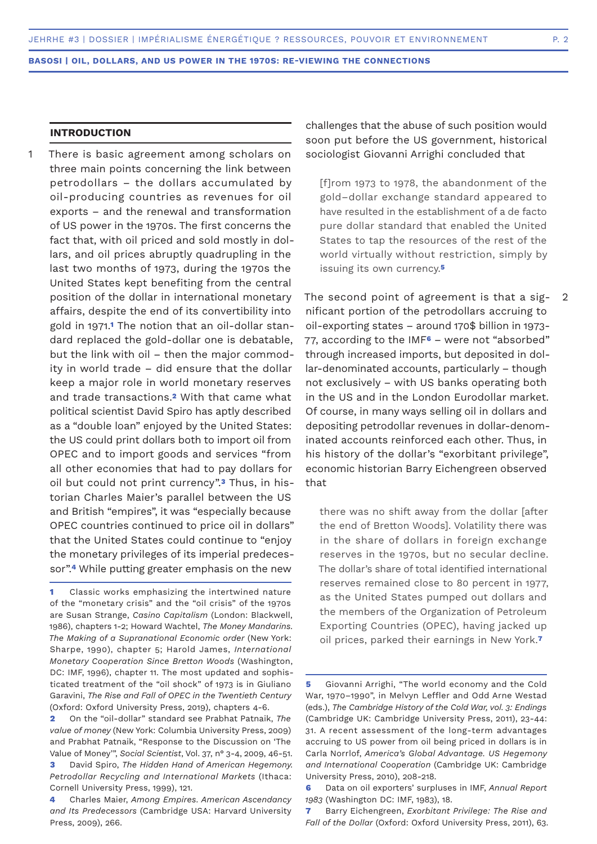# **INTRODUCTION**

There is basic agreement among scholars on three main points concerning the link between petrodollars – the dollars accumulated by oil-producing countries as revenues for oil exports – and the renewal and transformation of US power in the 1970s. The first concerns the fact that, with oil priced and sold mostly in dollars, and oil prices abruptly quadrupling in the last two months of 1973, during the 1970s the United States kept benefiting from the central position of the dollar in international monetary affairs, despite the end of its convertibility into gold in 1971.**1** The notion that an oil-dollar standard replaced the gold-dollar one is debatable, but the link with oil – then the major commodity in world trade – did ensure that the dollar keep a major role in world monetary reserves and trade transactions.**2** With that came what political scientist David Spiro has aptly described as a "double loan" enjoyed by the United States: the US could print dollars both to import oil from OPEC and to import goods and services "from all other economies that had to pay dollars for oil but could not print currency".**3** Thus, in historian Charles Maier's parallel between the US and British "empires", it was "especially because OPEC countries continued to price oil in dollars" that the United States could continue to "enjoy the monetary privileges of its imperial predecessor".**4** While putting greater emphasis on the new 1

challenges that the abuse of such position would soon put before the US government, historical sociologist Giovanni Arrighi concluded that

[f]rom 1973 to 1978, the abandonment of the gold–dollar exchange standard appeared to have resulted in the establishment of a de facto pure dollar standard that enabled the United States to tap the resources of the rest of the world virtually without restriction, simply by issuing its own currency.**<sup>5</sup>**

The second point of agreement is that a significant portion of the petrodollars accruing to oil-exporting states – around 170\$ billion in 1973- 77, according to the IMF**6** – were not "absorbed" through increased imports, but deposited in dollar-denominated accounts, particularly – though not exclusively – with US banks operating both in the US and in the London Eurodollar market. Of course, in many ways selling oil in dollars and depositing petrodollar revenues in dollar-denominated accounts reinforced each other. Thus, in his history of the dollar's "exorbitant privilege", economic historian Barry Eichengreen observed that

there was no shift away from the dollar [after the end of Bretton Woods]. Volatility there was in the share of dollars in foreign exchange reserves in the 1970s, but no secular decline. The dollar's share of total identified international reserves remained close to 80 percent in 1977, as the United States pumped out dollars and the members of the Organization of Petroleum Exporting Countries (OPEC), having jacked up oil prices, parked their earnings in New York.**<sup>7</sup>**

**<sup>1</sup>** Classic works emphasizing the intertwined nature of the "monetary crisis" and the "oil crisis" of the 1970s are Susan Strange, *Casino Capitalism* (London: Blackwell, 1986), chapters 1-2; Howard Wachtel, *The Money Mandarins. The Making of a Supranational Economic order* (New York: Sharpe, 1990), chapter 5; Harold James, *International Monetary Cooperation Since Bretton Woods* (Washington, DC: IMF, 1996), chapter 11. The most updated and sophisticated treatment of the "oil shock" of 1973 is in Giuliano Garavini, *The Rise and Fall of OPEC in the Twentieth Century*  (Oxford: Oxford University Press, 2019), chapters 4-6.

**<sup>2</sup>** On the "oil-dollar" standard see Prabhat Patnaik, *The value of money* (New York: Columbia University Press, 2009) and Prabhat Patnaik, "Response to the Discussion on 'The Value of Money'", *Social Scientist*, Vol. 37, n° 3-4, 2009, 46-51.

**<sup>3</sup>** David Spiro, *The Hidden Hand of American Hegemony. Petrodollar Recycling and International Markets* (Ithaca: Cornell University Press, 1999), 121.

**<sup>4</sup>** Charles Maier, *Among Empires. American Ascendancy and Its Predecessors* (Cambridge USA: Harvard University Press, 2009), 266.

**<sup>5</sup>** Giovanni Arrighi, "The world economy and the Cold War, 1970–1990", in Melvyn Leffler and Odd Arne Westad (eds.), *The Cambridge History of the Cold War, vol. 3: Endings* (Cambridge UK: Cambridge University Press, 2011), 23-44: 31. A recent assessment of the long-term advantages accruing to US power from oil being priced in dollars is in Carla Norrlof, *America's Global Advantage. US Hegemony and International Cooperation* (Cambridge UK: Cambridge University Press, 2010), 208-218.

**<sup>6</sup>** Data on oil exporters' surpluses in IMF, *Annual Report 1983* (Washington DC: IMF, 1983), 18.

**<sup>7</sup>** Barry Eichengreen, *Exorbitant Privilege: The Rise and Fall of the Dollar* (Oxford: Oxford University Press, 2011), 63.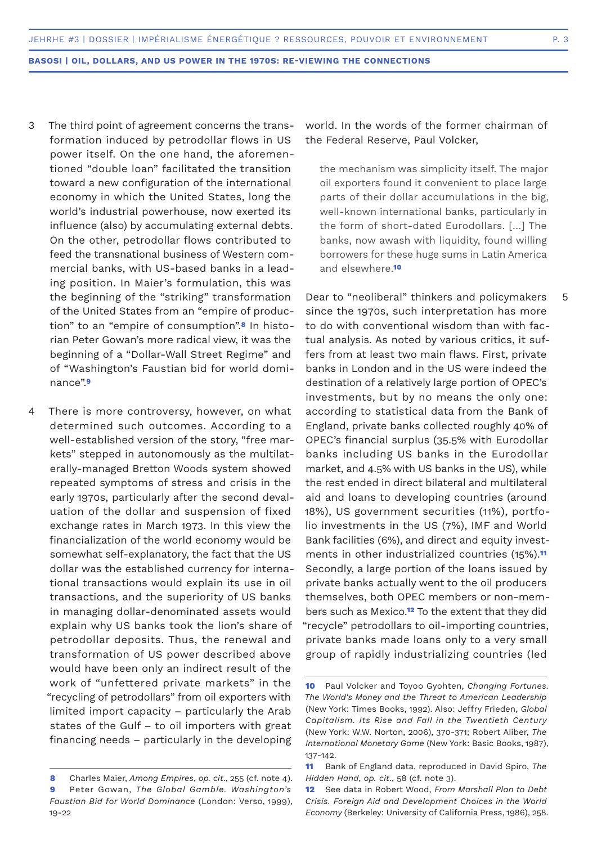- The third point of agreement concerns the transformation induced by petrodollar flows in US power itself. On the one hand, the aforementioned "double loan" facilitated the transition toward a new configuration of the international economy in which the United States, long the world's industrial powerhouse, now exerted its influence (also) by accumulating external debts. On the other, petrodollar flows contributed to feed the transnational business of Western commercial banks, with US-based banks in a leading position. In Maier's formulation, this was the beginning of the "striking" transformation of the United States from an "empire of production" to an "empire of consumption".**8** In historian Peter Gowan's more radical view, it was the beginning of a "Dollar-Wall Street Regime" and of "Washington's Faustian bid for world dominance".**<sup>9</sup>** 3
- There is more controversy, however, on what determined such outcomes. According to a well-established version of the story, "free markets" stepped in autonomously as the multilaterally-managed Bretton Woods system showed repeated symptoms of stress and crisis in the early 1970s, particularly after the second devaluation of the dollar and suspension of fixed exchange rates in March 1973. In this view the financialization of the world economy would be somewhat self-explanatory, the fact that the US dollar was the established currency for international transactions would explain its use in oil transactions, and the superiority of US banks in managing dollar-denominated assets would explain why US banks took the lion's share of petrodollar deposits. Thus, the renewal and transformation of US power described above would have been only an indirect result of the work of "unfettered private markets" in the "recycling of petrodollars" from oil exporters with limited import capacity – particularly the Arab states of the Gulf – to oil importers with great financing needs – particularly in the developing 4

world. In the words of the former chairman of the Federal Reserve, Paul Volcker,

the mechanism was simplicity itself. The major oil exporters found it convenient to place large parts of their dollar accumulations in the big, well-known international banks, particularly in the form of short-dated Eurodollars. […] The banks, now awash with liquidity, found willing borrowers for these huge sums in Latin America and elsewhere.**<sup>10</sup>**

Dear to "neoliberal" thinkers and policymakers since the 1970s, such interpretation has more to do with conventional wisdom than with factual analysis. As noted by various critics, it suffers from at least two main flaws. First, private banks in London and in the US were indeed the destination of a relatively large portion of OPEC's investments, but by no means the only one: according to statistical data from the Bank of England, private banks collected roughly 40% of OPEC's financial surplus (35.5% with Eurodollar banks including US banks in the Eurodollar market, and 4.5% with US banks in the US), while the rest ended in direct bilateral and multilateral aid and loans to developing countries (around 18%), US government securities (11%), portfolio investments in the US (7%), IMF and World Bank facilities (6%), and direct and equity investments in other industrialized countries (15%).**<sup>11</sup>** Secondly, a large portion of the loans issued by private banks actually went to the oil producers themselves, both OPEC members or non-members such as Mexico.**12** To the extent that they did "recycle" petrodollars to oil-importing countries, private banks made loans only to a very small group of rapidly industrializing countries (led

**<sup>8</sup>** Charles Maier, *Among Empires*, *op. cit*., 255 (cf. note 4). **9** Peter Gowan, *The Global Gamble. Washington's Faustian Bid for World Dominance* (London: Verso, 1999), 19-22

**<sup>10</sup>** Paul Volcker and Toyoo Gyohten, *Changing Fortunes. The World's Money and the Threat to American Leadership*  (New York: Times Books, 1992). Also: Jeffry Frieden, *Global Capitalism. Its Rise and Fall in the Twentieth Century* (New York: W.W. Norton, 2006), 370-371; Robert Aliber, *The International Monetary Game* (New York: Basic Books, 1987), 137-142.

**<sup>11</sup>** Bank of England data, reproduced in David Spiro, *The Hidden Hand*, *op. cit*., 58 (cf. note 3).

**<sup>12</sup>** See data in Robert Wood, *From Marshall Plan to Debt Crisis. Foreign Aid and Development Choices in the World Economy* (Berkeley: University of California Press, 1986), 258.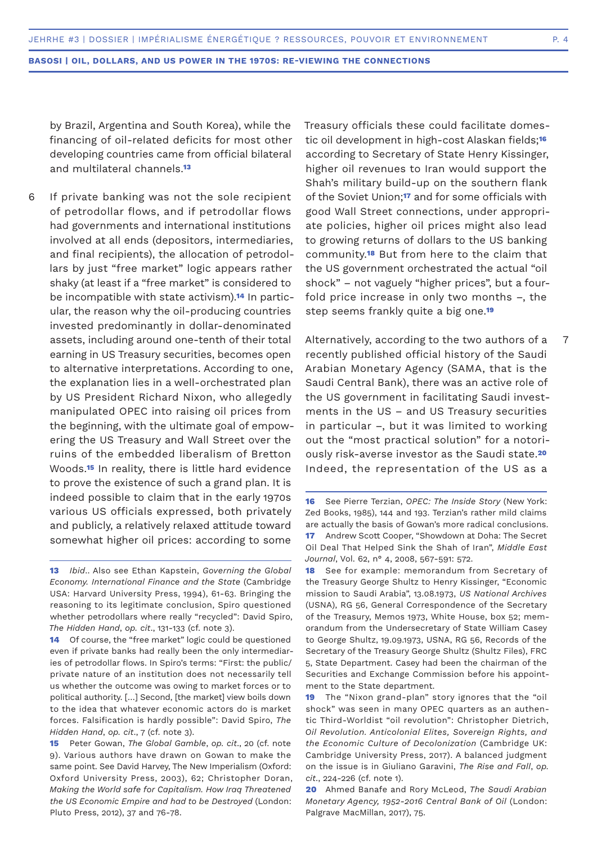by Brazil, Argentina and South Korea), while the financing of oil-related deficits for most other developing countries came from official bilateral and multilateral channels.**<sup>13</sup>**

If private banking was not the sole recipient of petrodollar flows, and if petrodollar flows had governments and international institutions involved at all ends (depositors, intermediaries, and final recipients), the allocation of petrodollars by just "free market" logic appears rather shaky (at least if a "free market" is considered to be incompatible with state activism).**14** In particular, the reason why the oil-producing countries invested predominantly in dollar-denominated assets, including around one-tenth of their total earning in US Treasury securities, becomes open to alternative interpretations. According to one, the explanation lies in a well-orchestrated plan by US President Richard Nixon, who allegedly manipulated OPEC into raising oil prices from the beginning, with the ultimate goal of empowering the US Treasury and Wall Street over the ruins of the embedded liberalism of Bretton Woods.**15** In reality, there is little hard evidence to prove the existence of such a grand plan. It is indeed possible to claim that in the early 1970s various US officials expressed, both privately and publicly, a relatively relaxed attitude toward somewhat higher oil prices: according to some 6

**14** Of course, the "free market" logic could be questioned even if private banks had really been the only intermediaries of petrodollar flows. In Spiro's terms: "First: the public/ private nature of an institution does not necessarily tell us whether the outcome was owing to market forces or to political authority. […] Second, [the market] view boils down to the idea that whatever economic actors do is market forces. Falsification is hardly possible": David Spiro, *The Hidden Hand*, *op. cit*., 7 (cf. note 3).

**15** Peter Gowan, *The Global Gamble*, *op. cit*., 20 (cf. note 9). Various authors have drawn on Gowan to make the same point. See David Harvey, The New Imperialism (Oxford: Oxford University Press, 2003), 62; Christopher Doran, *Making the World safe for Capitalism. How Iraq Threatened the US Economic Empire and had to be Destroyed* (London: Pluto Press, 2012), 37 and 76-78.

Treasury officials these could facilitate domestic oil development in high-cost Alaskan fields;**<sup>16</sup>** according to Secretary of State Henry Kissinger, higher oil revenues to Iran would support the Shah's military build-up on the southern flank of the Soviet Union;**17** and for some officials with good Wall Street connections, under appropriate policies, higher oil prices might also lead to growing returns of dollars to the US banking community.**18** But from here to the claim that the US government orchestrated the actual "oil shock" – not vaguely "higher prices", but a fourfold price increase in only two months –, the step seems frankly quite a big one.**<sup>19</sup>**

Alternatively, according to the two authors of a recently published official history of the Saudi Arabian Monetary Agency (SAMA, that is the Saudi Central Bank), there was an active role of the US government in facilitating Saudi investments in the US – and US Treasury securities in particular –, but it was limited to working out the "most practical solution" for a notoriously risk-averse investor as the Saudi state.**<sup>20</sup>** Indeed, the representation of the US as a 7

**18** See for example: memorandum from Secretary of the Treasury George Shultz to Henry Kissinger, "Economic mission to Saudi Arabia", 13.08.1973, *US National Archives*  (USNA), RG 56, General Correspondence of the Secretary of the Treasury, Memos 1973, White House, box 52; memorandum from the Undersecretary of State William Casey to George Shultz, 19.09.1973, USNA, RG 56, Records of the Secretary of the Treasury George Shultz (Shultz Files), FRC 5, State Department. Casey had been the chairman of the Securities and Exchange Commission before his appointment to the State department.

**19** The "Nixon grand-plan" story ignores that the "oil shock" was seen in many OPEC quarters as an authentic Third-Worldist "oil revolution": Christopher Dietrich, *Oil Revolution. Anticolonial Elites, Sovereign Rights, and the Economic Culture of Decolonization* (Cambridge UK: Cambridge University Press, 2017). A balanced judgment on the issue is in Giuliano Garavini, *The Rise and Fall*, *op. cit*., 224-226 (cf. note 1).

**20** Ahmed Banafe and Rory McLeod, *The Saudi Arabian Monetary Agency, 1952-2016 Central Bank of Oil* (London: Palgrave MacMillan, 2017), 75.

**<sup>13</sup>** *Ibid*.. Also see Ethan Kapstein, *Governing the Global Economy. International Finance and the State* (Cambridge USA: Harvard University Press, 1994), 61-63. Bringing the reasoning to its legitimate conclusion, Spiro questioned whether petrodollars where really "recycled": David Spiro, *The Hidden Hand*, *op. cit*., 131-133 (cf. note 3).

**<sup>16</sup>** See Pierre Terzian, *OPEC: The Inside Story* (New York: Zed Books, 1985), 144 and 193. Terzian's rather mild claims are actually the basis of Gowan's more radical conclusions. **17** Andrew Scott Cooper, "Showdown at Doha: The Secret Oil Deal That Helped Sink the Shah of Iran", *Middle East Journal*, Vol. 62, n° 4, 2008, 567-591: 572.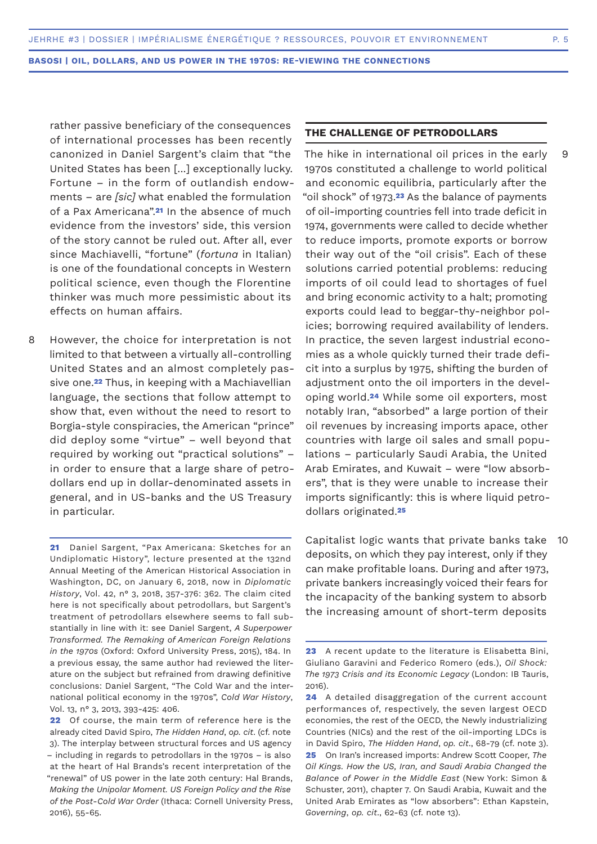rather passive beneficiary of the consequences of international processes has been recently canonized in Daniel Sargent's claim that "the United States has been [...] exceptionally lucky. Fortune – in the form of outlandish endowments – are *[sic]* what enabled the formulation of a Pax Americana".**21** In the absence of much evidence from the investors' side, this version of the story cannot be ruled out. After all, ever since Machiavelli, "fortune" (*fortuna* in Italian) is one of the foundational concepts in Western political science, even though the Florentine thinker was much more pessimistic about its effects on human affairs.

However, the choice for interpretation is not limited to that between a virtually all-controlling United States and an almost completely passive one.**22** Thus, in keeping with a Machiavellian language, the sections that follow attempt to show that, even without the need to resort to Borgia-style conspiracies, the American "prince" did deploy some "virtue" – well beyond that required by working out "practical solutions" – in order to ensure that a large share of petrodollars end up in dollar-denominated assets in general, and in US-banks and the US Treasury in particular. 8

**21** Daniel Sargent, "Pax Americana: Sketches for an Undiplomatic History", lecture presented at the 132nd Annual Meeting of the American Historical Association in Washington, DC, on January 6, 2018, now in *Diplomatic History*, Vol. 42, n° 3, 2018, 357-376: 362. The claim cited here is not specifically about petrodollars, but Sargent's treatment of petrodollars elsewhere seems to fall substantially in line with it: see Daniel Sargent, *A Superpower Transformed. The Remaking of American Foreign Relations in the 1970s* (Oxford: Oxford University Press, 2015), 184. In a previous essay, the same author had reviewed the literature on the subject but refrained from drawing definitive conclusions: Daniel Sargent, "The Cold War and the international political economy in the 1970s", *Cold War History*, Vol. 13, n° 3, 2013, 393-425: 406.

**22** Of course, the main term of reference here is the already cited David Spiro, *The Hidden Hand*, *op. cit*. (cf. note 3). The interplay between structural forces and US agency – including in regards to petrodollars in the 1970s – is also at the heart of Hal Brands's recent interpretation of the "renewal" of US power in the late 20th century: Hal Brands, *Making the Unipolar Moment. US Foreign Policy and the Rise of the Post-Cold War Order* (Ithaca: Cornell University Press, 2016), 55-65.

# **THE CHALLENGE OF PETRODOLLARS**

The hike in international oil prices in the early 1970s constituted a challenge to world political and economic equilibria, particularly after the "oil shock" of 1973.**23** As the balance of payments of oil-importing countries fell into trade deficit in 1974, governments were called to decide whether to reduce imports, promote exports or borrow their way out of the "oil crisis". Each of these solutions carried potential problems: reducing imports of oil could lead to shortages of fuel and bring economic activity to a halt; promoting exports could lead to beggar-thy-neighbor policies; borrowing required availability of lenders. In practice, the seven largest industrial economies as a whole quickly turned their trade deficit into a surplus by 1975, shifting the burden of adjustment onto the oil importers in the developing world.**24** While some oil exporters, most notably Iran, "absorbed" a large portion of their oil revenues by increasing imports apace, other countries with large oil sales and small populations – particularly Saudi Arabia, the United Arab Emirates, and Kuwait – were "low absorbers", that is they were unable to increase their imports significantly: this is where liquid petrodollars originated.**<sup>25</sup>**

Capitalist logic wants that private banks take 10deposits, on which they pay interest, only if they can make profitable loans. During and after 1973, private bankers increasingly voiced their fears for the incapacity of the banking system to absorb the increasing amount of short-term deposits

**<sup>23</sup>** A recent update to the literature is Elisabetta Bini, Giuliano Garavini and Federico Romero (eds.), *Oil Shock: The 1973 Crisis and its Economic Legacy* (London: IB Tauris, 2016).

**<sup>24</sup>** A detailed disaggregation of the current account performances of, respectively, the seven largest OECD economies, the rest of the OECD, the Newly industrializing Countries (NICs) and the rest of the oil-importing LDCs is in David Spiro, *The Hidden Hand*, *op. cit*., 68-79 (cf. note 3). **25** On Iran's increased imports: Andrew Scott Cooper, *The Oil Kings. How the US, Iran, and Saudi Arabia Changed the Balance of Power in the Middle East* (New York: Simon & Schuster, 2011), chapter 7. On Saudi Arabia, Kuwait and the United Arab Emirates as "low absorbers": Ethan Kapstein, *Governing*, *op. cit*., 62-63 (cf. note 13).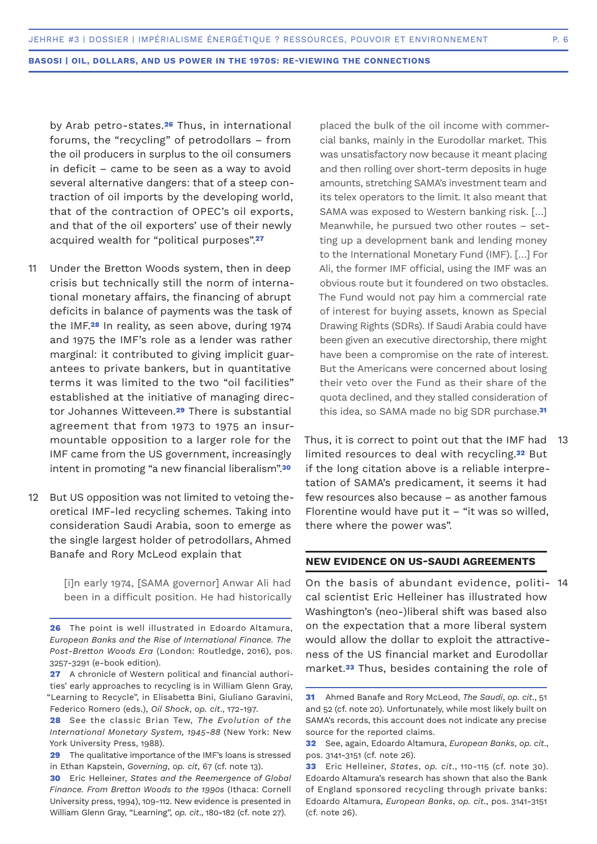by Arab petro-states.**26** Thus, in international forums, the "recycling" of petrodollars – from the oil producers in surplus to the oil consumers in deficit – came to be seen as a way to avoid several alternative dangers: that of a steep contraction of oil imports by the developing world, that of the contraction of OPEC's oil exports, and that of the oil exporters' use of their newly acquired wealth for "political purposes".**<sup>27</sup>**

- Under the Bretton Woods system, then in deep crisis but technically still the norm of international monetary affairs, the financing of abrupt deficits in balance of payments was the task of the IMF.**28** In reality, as seen above, during 1974 and 1975 the IMF's role as a lender was rather marginal: it contributed to giving implicit guarantees to private bankers, but in quantitative terms it was limited to the two "oil facilities" established at the initiative of managing director Johannes Witteveen.**29** There is substantial agreement that from 1973 to 1975 an insurmountable opposition to a larger role for the IMF came from the US government, increasingly intent in promoting "a new financial liberalism".**<sup>30</sup>** 11
- But US opposition was not limited to vetoing theoretical IMF-led recycling schemes. Taking into consideration Saudi Arabia, soon to emerge as the single largest holder of petrodollars, Ahmed Banafe and Rory McLeod explain that 12

[i]n early 1974, [SAMA governor] Anwar Ali had been in a difficult position. He had historically

placed the bulk of the oil income with commercial banks, mainly in the Eurodollar market. This was unsatisfactory now because it meant placing and then rolling over short-term deposits in huge amounts, stretching SAMA's investment team and its telex operators to the limit. It also meant that SAMA was exposed to Western banking risk. […] Meanwhile, he pursued two other routes – setting up a development bank and lending money to the International Monetary Fund (IMF). […] For Ali, the former IMF official, using the IMF was an obvious route but it foundered on two obstacles. The Fund would not pay him a commercial rate of interest for buying assets, known as Special Drawing Rights (SDRs). If Saudi Arabia could have been given an executive directorship, there might have been a compromise on the rate of interest. But the Americans were concerned about losing their veto over the Fund as their share of the quota declined, and they stalled consideration of this idea, so SAMA made no big SDR purchase.**<sup>31</sup>**

Thus, it is correct to point out that the IMF had limited resources to deal with recycling.**32** But if the long citation above is a reliable interpretation of SAMA's predicament, it seems it had few resources also because – as another famous Florentine would have put it – "it was so willed, there where the power was". 13

# **NEW EVIDENCE ON US-SAUDI AGREEMENTS**

On the basis of abundant evidence, politi-14 cal scientist Eric Helleiner has illustrated how Washington's (neo-)liberal shift was based also on the expectation that a more liberal system would allow the dollar to exploit the attractiveness of the US financial market and Eurodollar market.**33** Thus, besides containing the role of

**<sup>26</sup>** The point is well illustrated in Edoardo Altamura, *European Banks and the Rise of International Finance. The Post-Bretton Woods Era* (London: Routledge, 2016), pos. 3257-3291 (e-book edition).

**<sup>27</sup>** A chronicle of Western political and financial authorities' early approaches to recycling is in William Glenn Gray, "Learning to Recycle", in Elisabetta Bini, Giuliano Garavini, Federico Romero (eds.), *Oil Shock*, *op. cit*., 172-197.

**<sup>28</sup>** See the classic Brian Tew, *The Evolution of the International Monetary System, 1945-88* (New York: New York University Press, 1988).

**<sup>29</sup>** The qualitative importance of the IMF's loans is stressed in Ethan Kapstein, *Governing*, *op. cit*, 67 (cf. note 13).

**<sup>30</sup>** Eric Helleiner, *States and the Reemergence of Global Finance. From Bretton Woods to the 1990s* (Ithaca: Cornell University press, 1994), 109-112. New evidence is presented in William Glenn Gray, "Learning", *op. cit*., 180-182 (cf. note 27).

**<sup>31</sup>** Ahmed Banafe and Rory McLeod, *The Saudi*, *op. cit*., 51 and 52 (cf. note 20). Unfortunately, while most likely built on SAMA's records, this account does not indicate any precise source for the reported claims.

**<sup>32</sup>** See, again, Edoardo Altamura, *European Banks*, *op. cit*., pos. 3141-3151 (cf. note 26).

**<sup>33</sup>** Eric Helleiner, *States*, *op. cit*., 110-115 (cf. note 30). Edoardo Altamura's research has shown that also the Bank of England sponsored recycling through private banks: Edoardo Altamura, *European Banks*, *op. cit*., pos. 3141-3151 (cf. note 26).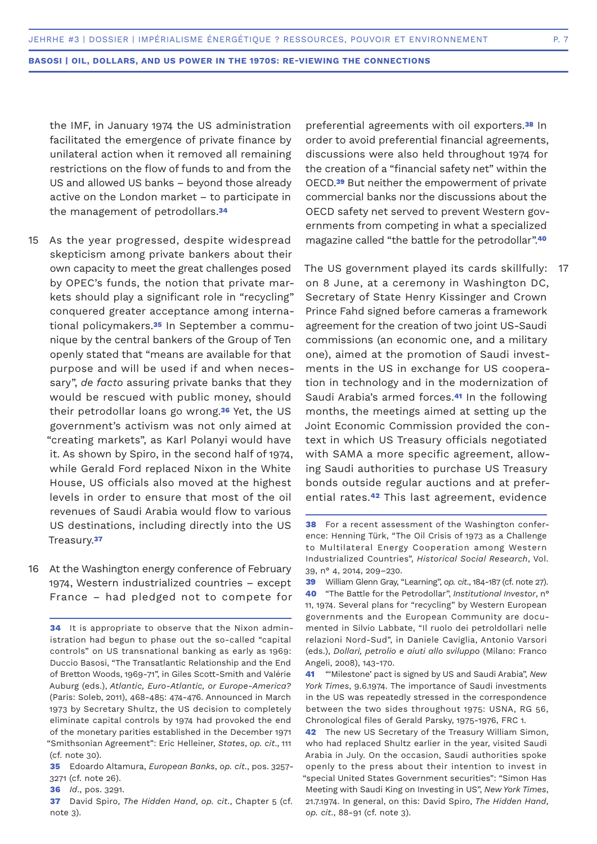the IMF, in January 1974 the US administration facilitated the emergence of private finance by unilateral action when it removed all remaining restrictions on the flow of funds to and from the US and allowed US banks – beyond those already active on the London market – to participate in the management of petrodollars.**<sup>34</sup>**

- 15 As the year progressed, despite widespread skepticism among private bankers about their own capacity to meet the great challenges posed by OPEC's funds, the notion that private markets should play a significant role in "recycling" conquered greater acceptance among international policymakers.**35** In September a communique by the central bankers of the Group of Ten openly stated that "means are available for that purpose and will be used if and when necessary", *de facto* assuring private banks that they would be rescued with public money, should their petrodollar loans go wrong.**36** Yet, the US government's activism was not only aimed at "creating markets", as Karl Polanyi would have it. As shown by Spiro, in the second half of 1974, while Gerald Ford replaced Nixon in the White House, US officials also moved at the highest levels in order to ensure that most of the oil revenues of Saudi Arabia would flow to various US destinations, including directly into the US Treasury.**<sup>37</sup>**
- 16 At the Washington energy conference of February 1974, Western industrialized countries – except France – had pledged not to compete for

- **35** Edoardo Altamura, *European Banks*, *op. cit*., pos. 3257- 3271 (cf. note 26).
- **36** *Id*., pos. 3291.
- **37** David Spiro, *The Hidden Hand*, *op. cit*., Chapter 5 (cf. note 3).

preferential agreements with oil exporters.**38** In order to avoid preferential financial agreements, discussions were also held throughout 1974 for the creation of a "financial safety net" within the OECD.**39** But neither the empowerment of private commercial banks nor the discussions about the OECD safety net served to prevent Western governments from competing in what a specialized magazine called "the battle for the petrodollar".**<sup>40</sup>**

The US government played its cards skillfully: on 8 June, at a ceremony in Washington DC, Secretary of State Henry Kissinger and Crown Prince Fahd signed before cameras a framework agreement for the creation of two joint US-Saudi commissions (an economic one, and a military one), aimed at the promotion of Saudi investments in the US in exchange for US cooperation in technology and in the modernization of Saudi Arabia's armed forces.**41** In the following months, the meetings aimed at setting up the Joint Economic Commission provided the context in which US Treasury officials negotiated with SAMA a more specific agreement, allowing Saudi authorities to purchase US Treasury bonds outside regular auctions and at preferential rates.**42** This last agreement, evidence 17

**<sup>34</sup>** It is appropriate to observe that the Nixon administration had begun to phase out the so-called "capital controls" on US transnational banking as early as 1969: Duccio Basosi, "The Transatlantic Relationship and the End of Bretton Woods, 1969-71", in Giles Scott-Smith and Valérie Auburg (eds.), *Atlantic, Euro-Atlantic, or Europe-America?* (Paris: Soleb, 2011), 468-485: 474-476. Announced in March 1973 by Secretary Shultz, the US decision to completely eliminate capital controls by 1974 had provoked the end of the monetary parities established in the December 1971 "Smithsonian Agreement": Eric Helleiner, *States*, *op. cit*., 111 (cf. note 30).

**<sup>38</sup>** For a recent assessment of the Washington conference: Henning Türk, "The Oil Crisis of 1973 as a Challenge to Multilateral Energy Cooperation among Western Industrialized Countries", *Historical Social Research*, Vol. 39, n° 4, 2014, 209–230.

**<sup>39</sup>** William Glenn Gray, "Learning", *op. cit*., 184-187 (cf. note 27). **40** "The Battle for the Petrodollar", *Institutional Investor*, n° 11, 1974. Several plans for "recycling" by Western European governments and the European Community are documented in Silvio Labbate, "Il ruolo dei petroldollari nelle relazioni Nord-Sud", in Daniele Caviglia, Antonio Varsori (eds.), *Dollari, petrolio e aiuti allo sviluppo* (Milano: Franco Angeli, 2008), 143-170.

**<sup>41</sup>** "'Milestone' pact is signed by US and Saudi Arabia", *New York Times*, 9.6.1974. The importance of Saudi investments in the US was repeatedly stressed in the correspondence between the two sides throughout 1975: USNA, RG 56, Chronological files of Gerald Parsky, 1975-1976, FRC 1.

**<sup>42</sup>** The new US Secretary of the Treasury William Simon, who had replaced Shultz earlier in the year, visited Saudi Arabia in July. On the occasion, Saudi authorities spoke openly to the press about their intention to invest in "special United States Government securities": "Simon Has Meeting with Saudi King on Investing in US", *New York Times*, 21.7.1974. In general, on this: David Spiro, *The Hidden Hand*, *op. cit*., 88-91 (cf. note 3).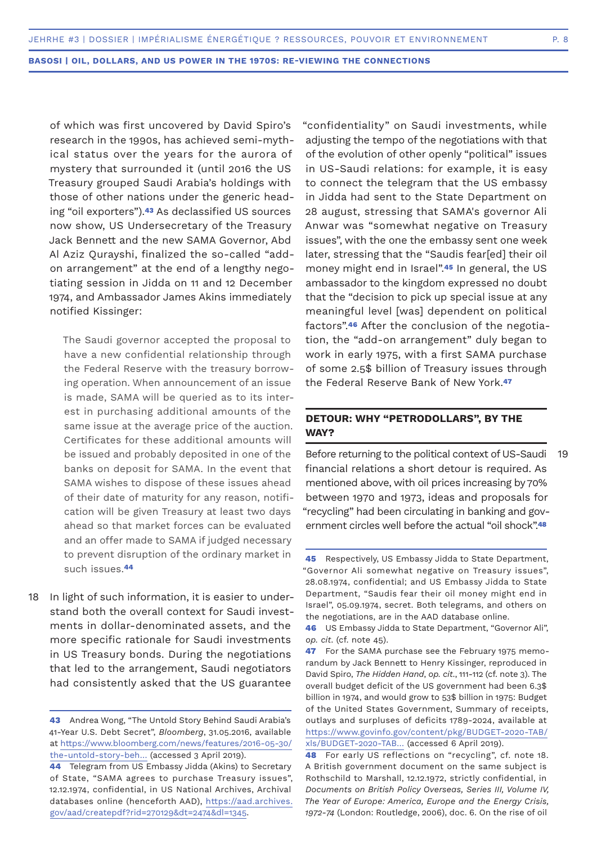of which was first uncovered by David Spiro's research in the 1990s, has achieved semi-mythical status over the years for the aurora of mystery that surrounded it (until 2016 the US Treasury grouped Saudi Arabia's holdings with those of other nations under the generic heading "oil exporters").**43** As declassified US sources now show, US Undersecretary of the Treasury Jack Bennett and the new SAMA Governor, Abd Al Aziz Qurayshi, finalized the so-called "addon arrangement" at the end of a lengthy negotiating session in Jidda on 11 and 12 December 1974, and Ambassador James Akins immediately notified Kissinger:

The Saudi governor accepted the proposal to have a new confidential relationship through the Federal Reserve with the treasury borrowing operation. When announcement of an issue is made, SAMA will be queried as to its interest in purchasing additional amounts of the same issue at the average price of the auction. Certificates for these additional amounts will be issued and probably deposited in one of the banks on deposit for SAMA. In the event that SAMA wishes to dispose of these issues ahead of their date of maturity for any reason, notification will be given Treasury at least two days ahead so that market forces can be evaluated and an offer made to SAMA if judged necessary to prevent disruption of the ordinary market in such issues.**<sup>44</sup>**

In light of such information, it is easier to understand both the overall context for Saudi investments in dollar-denominated assets, and the more specific rationale for Saudi investments in US Treasury bonds. During the negotiations that led to the arrangement, Saudi negotiators had consistently asked that the US guarantee 18

"confidentiality" on Saudi investments, while adjusting the tempo of the negotiations with that of the evolution of other openly "political" issues in US-Saudi relations: for example, it is easy to connect the telegram that the US embassy in Jidda had sent to the State Department on 28 august, stressing that SAMA's governor Ali Anwar was "somewhat negative on Treasury issues", with the one the embassy sent one week later, stressing that the "Saudis fear[ed] their oil money might end in Israel".**45** In general, the US ambassador to the kingdom expressed no doubt that the "decision to pick up special issue at any meaningful level [was] dependent on political factors".**46** After the conclusion of the negotiation, the "add-on arrangement" duly began to work in early 1975, with a first SAMA purchase of some 2.5\$ billion of Treasury issues through the Federal Reserve Bank of New York.**<sup>47</sup>**

# **DETOUR: WHY "PETRODOLLARS", BY THE WAY?**

Before returning to the political context of US-Saudi financial relations a short detour is required. As mentioned above, with oil prices increasing by 70% between 1970 and 1973, ideas and proposals for "recycling" had been circulating in banking and government circles well before the actual "oil shock".**<sup>48</sup>**

**<sup>43</sup>** Andrea Wong, "The Untold Story Behind Saudi Arabia's 41-Year U.S. Debt Secret", *Bloomberg*, 31.05.2016, available at https://www.bloomberg.com/news/features/2016-05-30/ the-untold-story-beh… (accessed 3 April 2019).

**<sup>44</sup>** Telegram from US Embassy Jidda (Akins) to Secretary of State, "SAMA agrees to purchase Treasury issues", 12.12.1974, confidential, in US National Archives, Archival databases online (henceforth AAD), https://aad.archives. gov/aad/createpdf?rid=270129&dt=2474&dl=1345.

**<sup>45</sup>** Respectively, US Embassy Jidda to State Department, "Governor Ali somewhat negative on Treasury issues", 28.08.1974, confidential; and US Embassy Jidda to State Department, "Saudis fear their oil money might end in Israel", 05.09.1974, secret. Both telegrams, and others on the negotiations, are in the AAD database online.

**<sup>46</sup>** US Embassy Jidda to State Department, "Governor Ali", *op. cit*. (cf. note 45).

**<sup>47</sup>** For the SAMA purchase see the February 1975 memorandum by Jack Bennett to Henry Kissinger, reproduced in David Spiro, *The Hidden Hand*, *op. cit*., 111-112 (cf. note 3). The overall budget deficit of the US government had been 6.3\$ billion in 1974, and would grow to 53\$ billion in 1975: Budget of the United States Government, Summary of receipts, outlays and surpluses of deficits 1789-2024, available at https://www.govinfo.gov/content/pkg/BUDGET-2020-TAB/ xls/BUDGET-2020-TAB… (accessed 6 April 2019).

**<sup>48</sup>** For early US reflections on "recycling", cf. note 18. A British government document on the same subject is Rothschild to Marshall, 12.12.1972, strictly confidential, in *Documents on British Policy Overseas, Series III, Volume IV, The Year of Europe: America, Europe and the Energy Crisis, 1972-74* (London: Routledge, 2006), doc. 6. On the rise of oil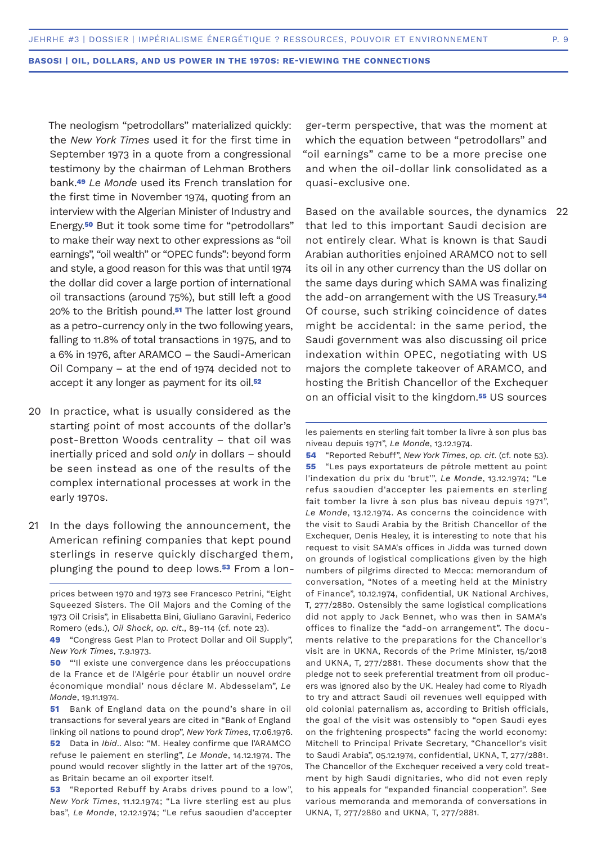The neologism "petrodollars" materialized quickly: the *New York Times* used it for the first time in September 1973 in a quote from a congressional testimony by the chairman of Lehman Brothers bank.**<sup>49</sup>** *Le Monde* used its French translation for the first time in November 1974, quoting from an interview with the Algerian Minister of Industry and Energy.**50** But it took some time for "petrodollars" to make their way next to other expressions as "oil earnings", "oil wealth" or "OPEC funds": beyond form and style, a good reason for this was that until 1974 the dollar did cover a large portion of international oil transactions (around 75%), but still left a good 20% to the British pound.**51** The latter lost ground as a petro-currency only in the two following years, falling to 11.8% of total transactions in 1975, and to a 6% in 1976, after ARAMCO – the Saudi-American Oil Company – at the end of 1974 decided not to accept it any longer as payment for its oil.**<sup>52</sup>**

- 20 In practice, what is usually considered as the starting point of most accounts of the dollar's post-Bretton Woods centrality – that oil was inertially priced and sold *only* in dollars – should be seen instead as one of the results of the complex international processes at work in the early 1970s.
- In the days following the announcement, the American refining companies that kept pound sterlings in reserve quickly discharged them, plunging the pound to deep lows.**53** From a lon-21

ger-term perspective, that was the moment at which the equation between "petrodollars" and "oil earnings" came to be a more precise one and when the oil-dollar link consolidated as a quasi-exclusive one.

Based on the available sources, the dynamics 22 that led to this important Saudi decision are not entirely clear. What is known is that Saudi Arabian authorities enjoined ARAMCO not to sell its oil in any other currency than the US dollar on the same days during which SAMA was finalizing the add-on arrangement with the US Treasury.**<sup>54</sup>** Of course, such striking coincidence of dates might be accidental: in the same period, the Saudi government was also discussing oil price indexation within OPEC, negotiating with US majors the complete takeover of ARAMCO, and hosting the British Chancellor of the Exchequer on an official visit to the kingdom.**55** US sources

**54** "Reported Rebuff", *New York Times*, *op. cit*. (cf. note 53). **55** "Les pays exportateurs de pétrole mettent au point l'indexation du prix du 'brut'", *Le Monde*, 13.12.1974; "Le refus saoudien d'accepter les paiements en sterling fait tomber la livre à son plus bas niveau depuis 1971", *Le Monde*, 13.12.1974. As concerns the coincidence with the visit to Saudi Arabia by the British Chancellor of the Exchequer, Denis Healey, it is interesting to note that his request to visit SAMA's offices in Jidda was turned down on grounds of logistical complications given by the high numbers of pilgrims directed to Mecca: memorandum of conversation, "Notes of a meeting held at the Ministry of Finance", 10.12.1974, confidential, UK National Archives, T, 277/2880. Ostensibly the same logistical complications did not apply to Jack Bennet, who was then in SAMA's offices to finalize the "add-on arrangement". The documents relative to the preparations for the Chancellor's visit are in UKNA, Records of the Prime Minister, 15/2018 and UKNA, T, 277/2881. These documents show that the pledge not to seek preferential treatment from oil producers was ignored also by the UK. Healey had come to Riyadh to try and attract Saudi oil revenues well equipped with old colonial paternalism as, according to British officials, the goal of the visit was ostensibly to "open Saudi eyes on the frightening prospects" facing the world economy: Mitchell to Principal Private Secretary, "Chancellor's visit to Saudi Arabia", 05.12.1974, confidential, UKNA, T, 277/2881. The Chancellor of the Exchequer received a very cold treatment by high Saudi dignitaries, who did not even reply to his appeals for "expanded financial cooperation". See various memoranda and memoranda of conversations in UKNA, T, 277/2880 and UKNA, T, 277/2881.

prices between 1970 and 1973 see Francesco Petrini, "Eight Squeezed Sisters. The Oil Majors and the Coming of the 1973 Oil Crisis", in Elisabetta Bini, Giuliano Garavini, Federico Romero (eds.), *Oil Shock*, *op. cit*., 89-114 (cf. note 23).

**<sup>49</sup>** "Congress Gest Plan to Protect Dollar and Oil Supply", *New York Times*, 7.9.1973.

**<sup>50</sup>** "'Il existe une convergence dans les préoccupations de la France et de l'Algérie pour établir un nouvel ordre économique mondial' nous déclare M. Abdesselam", *Le Monde*, 19.11.1974.

**<sup>51</sup>** Bank of England data on the pound's share in oil transactions for several years are cited in "Bank of England linking oil nations to pound drop", *New York Times*, 17.06.1976. **52** Data in *Ibid*.. Also: "M. Healey confirme que l'ARAMCO refuse le paiement en sterling", *Le Monde*, 14.12.1974. The pound would recover slightly in the latter art of the 1970s, as Britain became an oil exporter itself.

**<sup>53</sup>** "Reported Rebuff by Arabs drives pound to a low", *New York Times*, 11.12.1974; "La livre sterling est au plus bas", *Le Monde*, 12.12.1974; "Le refus saoudien d'accepter

les paiements en sterling fait tomber la livre à son plus bas niveau depuis 1971", *Le Monde*, 13.12.1974.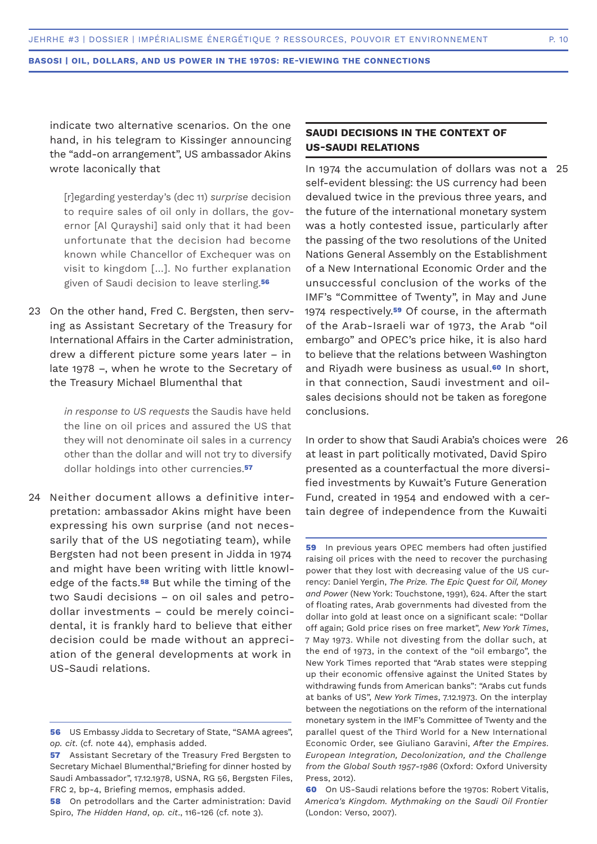indicate two alternative scenarios. On the one hand, in his telegram to Kissinger announcing the "add-on arrangement", US ambassador Akins wrote laconically that

[r]egarding yesterday's (dec 11) *surprise* decision to require sales of oil only in dollars, the governor [Al Qurayshi] said only that it had been unfortunate that the decision had become known while Chancellor of Exchequer was on visit to kingdom […]. No further explanation given of Saudi decision to leave sterling.**<sup>56</sup>**

23 On the other hand, Fred C. Bergsten, then serving as Assistant Secretary of the Treasury for International Affairs in the Carter administration, drew a different picture some years later – in late 1978 –, when he wrote to the Secretary of the Treasury Michael Blumenthal that

> *in response to US requests* the Saudis have held the line on oil prices and assured the US that they will not denominate oil sales in a currency other than the dollar and will not try to diversify dollar holdings into other currencies.**<sup>57</sup>**

Neither document allows a definitive inter-24 pretation: ambassador Akins might have been expressing his own surprise (and not necessarily that of the US negotiating team), while Bergsten had not been present in Jidda in 1974 and might have been writing with little knowledge of the facts.**58** But while the timing of the two Saudi decisions – on oil sales and petrodollar investments – could be merely coincidental, it is frankly hard to believe that either decision could be made without an appreciation of the general developments at work in US-Saudi relations.

# **SAUDI DECISIONS IN THE CONTEXT OF US-SAUDI RELATIONS**

In 1974 the accumulation of dollars was not a 25 self-evident blessing: the US currency had been devalued twice in the previous three years, and the future of the international monetary system was a hotly contested issue, particularly after the passing of the two resolutions of the United Nations General Assembly on the Establishment of a New International Economic Order and the unsuccessful conclusion of the works of the IMF's "Committee of Twenty", in May and June 1974 respectively.**59** Of course, in the aftermath of the Arab-Israeli war of 1973, the Arab "oil embargo" and OPEC's price hike, it is also hard to believe that the relations between Washington and Riyadh were business as usual.**60** In short, in that connection, Saudi investment and oilsales decisions should not be taken as foregone conclusions.

In order to show that Saudi Arabia's choices were 26at least in part politically motivated, David Spiro presented as a counterfactual the more diversified investments by Kuwait's Future Generation Fund, created in 1954 and endowed with a certain degree of independence from the Kuwaiti

**59** In previous years OPEC members had often justified raising oil prices with the need to recover the purchasing power that they lost with decreasing value of the US currency: Daniel Yergin, *The Prize. The Epic Quest for Oil, Money and Power* (New York: Touchstone, 1991), 624. After the start of floating rates, Arab governments had divested from the dollar into gold at least once on a significant scale: "Dollar off again; Gold price rises on free market", *New York Times*, 7 May 1973. While not divesting from the dollar such, at the end of 1973, in the context of the "oil embargo", the New York Times reported that "Arab states were stepping up their economic offensive against the United States by withdrawing funds from American banks": "Arabs cut funds at banks of US", *New York Times*, 7.12.1973. On the interplay between the negotiations on the reform of the international monetary system in the IMF's Committee of Twenty and the parallel quest of the Third World for a New International Economic Order, see Giuliano Garavini, *After the Empires. European Integration, Decolonization, and the Challenge from the Global South 1957-1986* (Oxford: Oxford University Press, 2012).

**60** On US-Saudi relations before the 1970s: Robert Vitalis, *America's Kingdom. Mythmaking on the Saudi Oil Frontier*  (London: Verso, 2007).

**<sup>56</sup>** US Embassy Jidda to Secretary of State, "SAMA agrees", *op. cit*. (cf. note 44), emphasis added.

**<sup>57</sup>** Assistant Secretary of the Treasury Fred Bergsten to Secretary Michael Blumenthal,"Briefing for dinner hosted by Saudi Ambassador", 17.12.1978, USNA, RG 56, Bergsten Files, FRC 2, bp-4, Briefing memos, emphasis added.

**<sup>58</sup>** On petrodollars and the Carter administration: David Spiro, *The Hidden Hand*, *op. cit*., 116-126 (cf. note 3).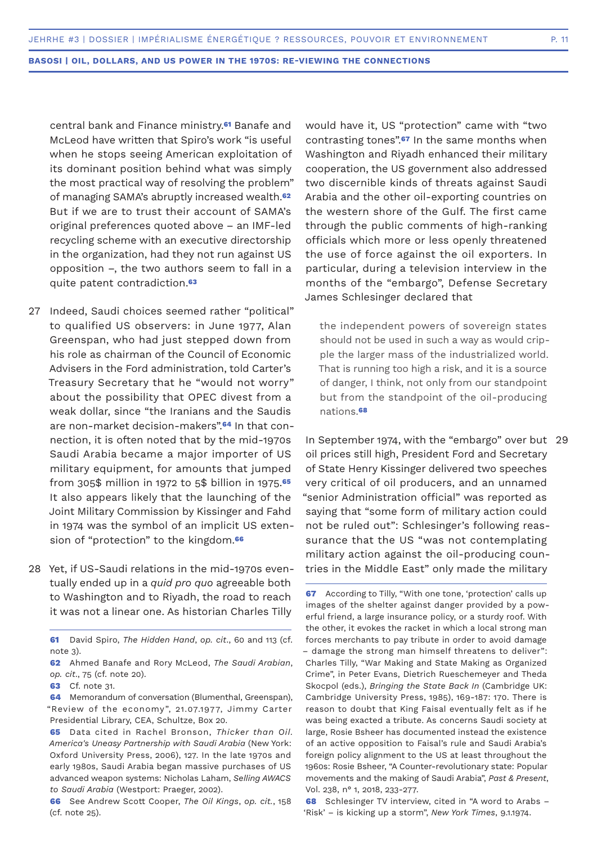central bank and Finance ministry.**61** Banafe and McLeod have written that Spiro's work "is useful when he stops seeing American exploitation of its dominant position behind what was simply the most practical way of resolving the problem" of managing SAMA's abruptly increased wealth.**<sup>62</sup>** But if we are to trust their account of SAMA's original preferences quoted above – an IMF-led recycling scheme with an executive directorship in the organization, had they not run against US opposition –, the two authors seem to fall in a quite patent contradiction.**<sup>63</sup>**

- Indeed, Saudi choices seemed rather "political" 27 to qualified US observers: in June 1977, Alan Greenspan, who had just stepped down from his role as chairman of the Council of Economic Advisers in the Ford administration, told Carter's Treasury Secretary that he "would not worry" about the possibility that OPEC divest from a weak dollar, since "the Iranians and the Saudis are non-market decision-makers".**64** In that connection, it is often noted that by the mid-1970s Saudi Arabia became a major importer of US military equipment, for amounts that jumped from 305\$ million in 1972 to 5\$ billion in 1975.**<sup>65</sup>** It also appears likely that the launching of the Joint Military Commission by Kissinger and Fahd in 1974 was the symbol of an implicit US extension of "protection" to the kingdom.**<sup>66</sup>**
- 28 Yet, if US-Saudi relations in the mid-1970s eventually ended up in a *quid pro quo* agreeable both to Washington and to Riyadh, the road to reach it was not a linear one. As historian Charles Tilly

**63** Cf. note 31.

**64** Memorandum of conversation (Blumenthal, Greenspan), "Review of the economy", 21.07.1977, Jimmy Carter Presidential Library, CEA, Schultze, Box 20.

would have it, US "protection" came with "two contrasting tones".**67** In the same months when Washington and Riyadh enhanced their military cooperation, the US government also addressed two discernible kinds of threats against Saudi Arabia and the other oil-exporting countries on the western shore of the Gulf. The first came through the public comments of high-ranking officials which more or less openly threatened the use of force against the oil exporters. In particular, during a television interview in the months of the "embargo", Defense Secretary James Schlesinger declared that

the independent powers of sovereign states should not be used in such a way as would cripple the larger mass of the industrialized world. That is running too high a risk, and it is a source of danger, I think, not only from our standpoint but from the standpoint of the oil-producing nations.**<sup>68</sup>**

In September 1974, with the "embargo" over but 29oil prices still high, President Ford and Secretary of State Henry Kissinger delivered two speeches very critical of oil producers, and an unnamed "senior Administration official" was reported as saying that "some form of military action could not be ruled out": Schlesinger's following reassurance that the US "was not contemplating military action against the oil-producing countries in the Middle East" only made the military

**68** Schlesinger TV interview, cited in "A word to Arabs – 'Risk' – is kicking up a storm", *New York Times*, 9.1.1974.

**<sup>61</sup>** David Spiro, *The Hidden Hand*, *op. cit*., 60 and 113 (cf. note 3).

**<sup>62</sup>** Ahmed Banafe and Rory McLeod, *The Saudi Arabian*, *op. cit*., 75 (cf. note 20).

**<sup>65</sup>** Data cited in Rachel Bronson, *Thicker than Oil. America's Uneasy Partnership with Saudi Arabia* (New York: Oxford University Press, 2006), 127. In the late 1970s and early 1980s, Saudi Arabia began massive purchases of US advanced weapon systems: Nicholas Laham, *Selling AWACS to Saudi Arabia* (Westport: Praeger, 2002).

**<sup>66</sup>** See Andrew Scott Cooper, *The Oil Kings*, *op. cit.*, 158 (cf. note 25).

**<sup>67</sup>** According to Tilly, "With one tone, 'protection' calls up images of the shelter against danger provided by a powerful friend, a large insurance policy, or a sturdy roof. With the other, it evokes the racket in which a local strong man forces merchants to pay tribute in order to avoid damage – damage the strong man himself threatens to deliver": Charles Tilly, "War Making and State Making as Organized Crime", in Peter Evans, Dietrich Rueschemeyer and Theda Skocpol (eds.), *Bringing the State Back In* (Cambridge UK: Cambridge University Press, 1985), 169-187: 170. There is reason to doubt that King Faisal eventually felt as if he was being exacted a tribute. As concerns Saudi society at large, Rosie Bsheer has documented instead the existence of an active opposition to Faisal's rule and Saudi Arabia's foreign policy alignment to the US at least throughout the 1960s: Rosie Bsheer, "A Counter-revolutionary state: Popular movements and the making of Saudi Arabia", *Past & Present*, Vol. 238, n° 1, 2018, 233-277.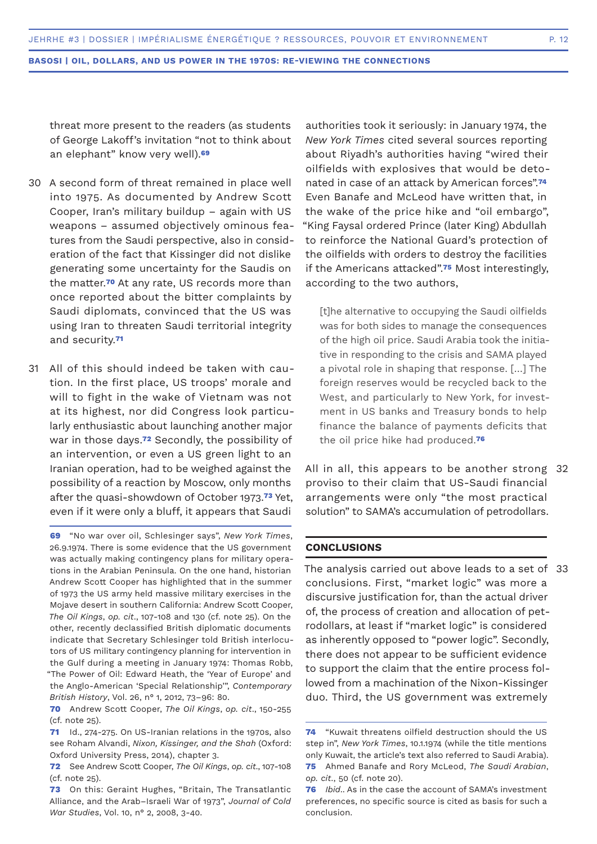threat more present to the readers (as students of George Lakoff's invitation "not to think about an elephant" know very well).**<sup>69</sup>**

- 30 A second form of threat remained in place well into 1975. As documented by Andrew Scott Cooper, Iran's military buildup – again with US weapons – assumed objectively ominous features from the Saudi perspective, also in consideration of the fact that Kissinger did not dislike generating some uncertainty for the Saudis on the matter.**70** At any rate, US records more than once reported about the bitter complaints by Saudi diplomats, convinced that the US was using Iran to threaten Saudi territorial integrity and security.**<sup>71</sup>**
- All of this should indeed be taken with cau-31 tion. In the first place, US troops' morale and will to fight in the wake of Vietnam was not at its highest, nor did Congress look particularly enthusiastic about launching another major war in those days.**72** Secondly, the possibility of an intervention, or even a US green light to an Iranian operation, had to be weighed against the possibility of a reaction by Moscow, only months after the quasi-showdown of October 1973.**73** Yet, even if it were only a bluff, it appears that Saudi

**69** "No war over oil, Schlesinger says", *New York Times*, 26.9.1974. There is some evidence that the US government was actually making contingency plans for military operations in the Arabian Peninsula. On the one hand, historian Andrew Scott Cooper has highlighted that in the summer of 1973 the US army held massive military exercises in the Mojave desert in southern California: Andrew Scott Cooper, *The Oil Kings*, *op. cit*., 107-108 and 130 (cf. note 25). On the other, recently declassified British diplomatic documents indicate that Secretary Schlesinger told British interlocutors of US military contingency planning for intervention in the Gulf during a meeting in January 1974: Thomas Robb, "The Power of Oil: Edward Heath, the 'Year of Europe' and the Anglo-American 'Special Relationship'", *Contemporary British History*, Vol. 26, n° 1, 2012, 73–96: 80.

- **70** Andrew Scott Cooper, *The Oil Kings*, *op. cit*., 150-255 (cf. note 25).
- **71** Id., 274-275. On US-Iranian relations in the 1970s, also see Roham Alvandi, *Nixon, Kissinger, and the Shah* (Oxford: Oxford University Press, 2014), chapter 3.
- **72** See Andrew Scott Cooper, *The Oil Kings*, *op. cit*., 107-108 (cf. note 25).
- **73** On this: Geraint Hughes, "Britain, The Transatlantic Alliance, and the Arab–Israeli War of 1973", *Journal of Cold War Studies*, Vol. 10, n° 2, 2008, 3-40.

authorities took it seriously: in January 1974, the *New York Times* cited several sources reporting about Riyadh's authorities having "wired their oilfields with explosives that would be detonated in case of an attack by American forces".**<sup>74</sup>** Even Banafe and McLeod have written that, in the wake of the price hike and "oil embargo", "King Faysal ordered Prince (later King) Abdullah to reinforce the National Guard's protection of the oilfields with orders to destroy the facilities if the Americans attacked".**75** Most interestingly, according to the two authors,

[t]he alternative to occupying the Saudi oilfields was for both sides to manage the consequences of the high oil price. Saudi Arabia took the initiative in responding to the crisis and SAMA played a pivotal role in shaping that response. […] The foreign reserves would be recycled back to the West, and particularly to New York, for investment in US banks and Treasury bonds to help finance the balance of payments deficits that the oil price hike had produced.**<sup>76</sup>**

All in all, this appears to be another strong 32 proviso to their claim that US-Saudi financial arrangements were only "the most practical solution" to SAMA's accumulation of petrodollars.

# **CONCLUSIONS**

The analysis carried out above leads to a set of 33conclusions. First, "market logic" was more a discursive justification for, than the actual driver of, the process of creation and allocation of petrodollars, at least if "market logic" is considered as inherently opposed to "power logic". Secondly, there does not appear to be sufficient evidence to support the claim that the entire process followed from a machination of the Nixon-Kissinger duo. Third, the US government was extremely

**<sup>74</sup>** "Kuwait threatens oilfield destruction should the US step in", *New York Times*, 10.1.1974 (while the title mentions only Kuwait, the article's text also referred to Saudi Arabia). **75** Ahmed Banafe and Rory McLeod, *The Saudi Arabian*, *op. cit*., 50 (cf. note 20).

**<sup>76</sup>** *Ibid*.. As in the case the account of SAMA's investment preferences, no specific source is cited as basis for such a conclusion.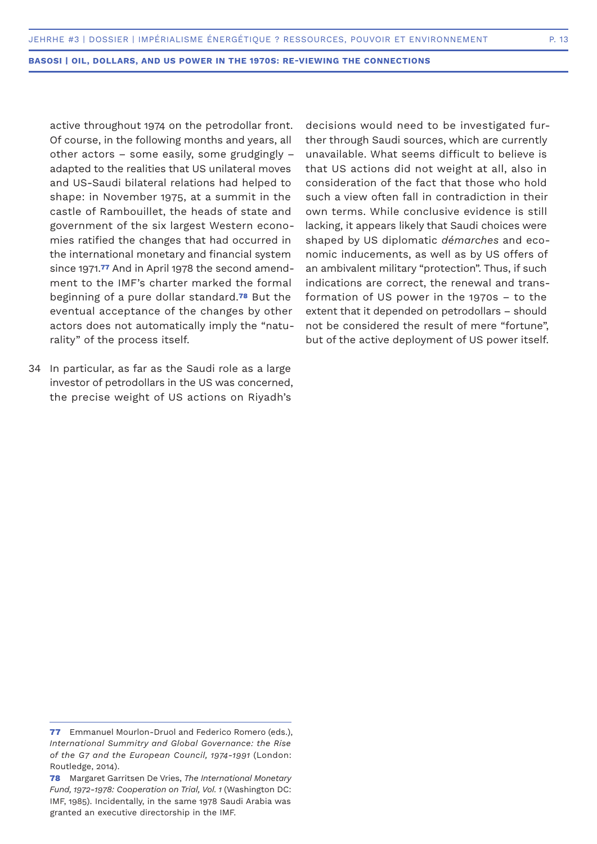active throughout 1974 on the petrodollar front. Of course, in the following months and years, all other actors – some easily, some grudgingly – adapted to the realities that US unilateral moves and US-Saudi bilateral relations had helped to shape: in November 1975, at a summit in the castle of Rambouillet, the heads of state and government of the six largest Western economies ratified the changes that had occurred in the international monetary and financial system since 1971.**77** And in April 1978 the second amendment to the IMF's charter marked the formal beginning of a pure dollar standard.**78** But the eventual acceptance of the changes by other actors does not automatically imply the "naturality" of the process itself.

34 In particular, as far as the Saudi role as a large investor of petrodollars in the US was concerned, the precise weight of US actions on Riyadh's

decisions would need to be investigated further through Saudi sources, which are currently unavailable. What seems difficult to believe is that US actions did not weight at all, also in consideration of the fact that those who hold such a view often fall in contradiction in their own terms. While conclusive evidence is still lacking, it appears likely that Saudi choices were shaped by US diplomatic *démarches* and economic inducements, as well as by US offers of an ambivalent military "protection". Thus, if such indications are correct, the renewal and transformation of US power in the 1970s – to the extent that it depended on petrodollars – should not be considered the result of mere "fortune", but of the active deployment of US power itself.

**<sup>77</sup>** Emmanuel Mourlon-Druol and Federico Romero (eds.), *International Summitry and Global Governance: the Rise of the G7 and the European Council, 1974-1991* (London: Routledge, 2014).

**<sup>78</sup>** Margaret Garritsen De Vries, *The International Monetary Fund, 1972-1978: Cooperation on Trial, Vol. 1* (Washington DC: IMF, 1985). Incidentally, in the same 1978 Saudi Arabia was granted an executive directorship in the IMF.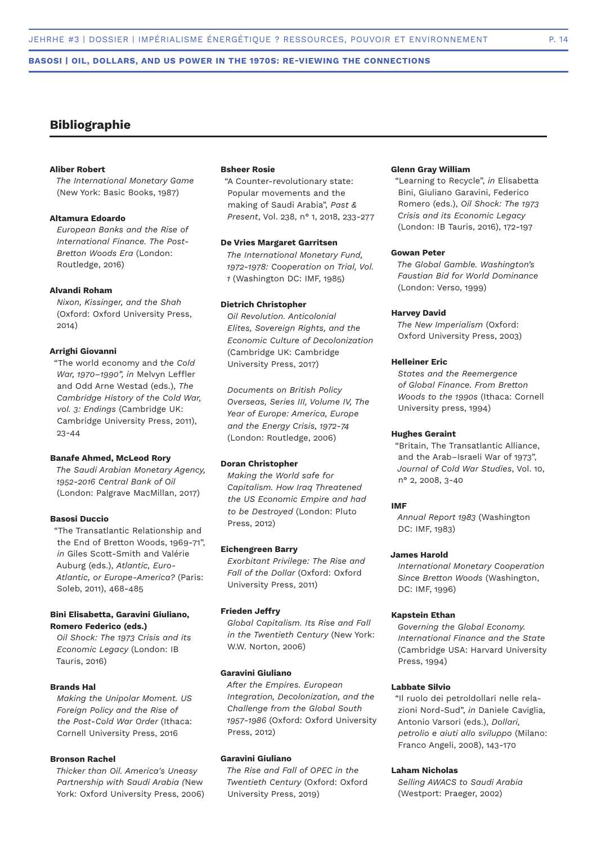# **Bibliographie**

# **Aliber Robert**

*The International Monetary Game* (New York: Basic Books, 1987)

#### **Altamura Edoardo**

*European Banks and the Rise of International Finance. The Post-Bretton Woods Era* (London: Routledge, 2016)

# **Alvandi Roham**

*Nixon, Kissinger, and the Shah* (Oxford: Oxford University Press, 2014)

#### **Arrighi Giovanni**

"The world economy and t*he Cold War, 1970–1990", in* Melvyn Leffler and Odd Arne Westad (eds.), *The Cambridge History of the Cold War, vol. 3: Endings* (Cambridge UK: Cambridge University Press, 2011), 23-44

#### **Banafe Ahmed, McLeod Rory**

*The Saudi Arabian Monetary Agency, 1952-2016 Central Bank of Oil*  (London: Palgrave MacMillan, 2017)

# **Basosi Duccio**

"The Transatlantic Relationship and the End of Bretton Woods, 1969-71", *in* Giles Scott-Smith and Valérie Auburg (eds.), *Atlantic, Euro-Atlantic, or Europe-America?* (Paris: Soleb, 2011), 468-485

### **Bini Elisabetta, Garavini Giuliano, Romero Federico (eds.)**

*Oil Shock: The 1973 Crisis and its Economic Legacy* (London: IB Tauris, 2016)

# **Brands Hal**

*Making the Unipolar Moment. US Foreign Policy and the Rise of the Post-Cold War Order* (Ithaca: Cornell University Press, 2016

#### **Bronson Rachel**

*Thicker than Oil. America's Uneasy Partnership with Saudi Arabia (*New York: Oxford University Press, 2006)

### **Bsheer Rosie**

"A Counter-revolutionary state: Popular movements and the making of Saudi Arabia", *Past & Present*, Vol. 238, n° 1, 2018, 233-277

#### **De Vries Margaret Garritsen**

*The International Monetary Fund, 1972-1978: Cooperation on Trial, Vol. 1* (Washington DC: IMF, 1985)

# **Dietrich Christopher**

*Oil Revolution. Anticolonial Elites, Sovereign Rights, and the Economic Culture of Decolonization*  (Cambridge UK: Cambridge University Press, 2017)

*Documents on British Policy Overseas, Series III, Volume IV, The Year of Europe: America, Europe and the Energy Crisis, 1972-74* (London: Routledge, 2006)

#### **Doran Christopher**

*Making the World safe for Capitalism. How Iraq Threatened the US Economic Empire and had to be Destroyed* (London: Pluto Press, 2012)

#### **Eichengreen Barry**

*Exorbitant Privilege: The Rise and Fall of the Dollar* (Oxford: Oxford University Press, 2011)

### **Frieden Jeffry**

*Global Capitalism. Its Rise and Fall in the Twentieth Century* (New York: W.W. Norton, 2006)

# **Garavini Giuliano**

*After the Empires. European Integration, Decolonization, and the Challenge from the Global South 1957-1986* (Oxford: Oxford University Press, 2012)

### **Garavini Giuliano**

*The Rise and Fall of OPEC in the Twentieth Century* (Oxford: Oxford University Press, 2019)

# **Glenn Gray William**

"Learning to Recycle", *in* Elisabetta Bini, Giuliano Garavini, Federico Romero (eds.), *Oil Shock: The 1973 Crisis and its Economic Legacy* (London: IB Tauris, 2016), 172-197

#### **Gowan Peter**

*The Global Gamble. Washington's Faustian Bid for World Dominance* (London: Verso, 1999)

### **Harvey David**

*The New Imperialism* (Oxford: Oxford University Press, 2003)

#### **Helleiner Eric**

*States and the Reemergence of Global Finance. From Bretton Woods to the 1990s* (Ithaca: Cornell University press, 1994)

#### **Hughes Geraint**

"Britain, The Transatlantic Alliance, and the Arab–Israeli War of 1973", *Journal of Cold War Studies*, Vol. 10, n° 2, 2008, 3-40

#### **IMF**

*Annual Report 1983* (Washington DC: IMF, 1983)

#### **James Harold**

*International Monetary Cooperation Since Bretton Woods* (Washington, DC: IMF, 1996)

#### **Kapstein Ethan**

*Governing the Global Economy. International Finance and the State*  (Cambridge USA: Harvard University Press, 1994)

# **Labbate Silvio**

"Il ruolo dei petroldollari nelle relazioni Nord-Sud", *in* Daniele Caviglia, Antonio Varsori (eds.), *Dollari, petrolio e aiuti allo sviluppo* (Milano: Franco Angeli, 2008), 143-170

#### **Laham Nicholas**

*Selling AWACS to Saudi Arabia* (Westport: Praeger, 2002)